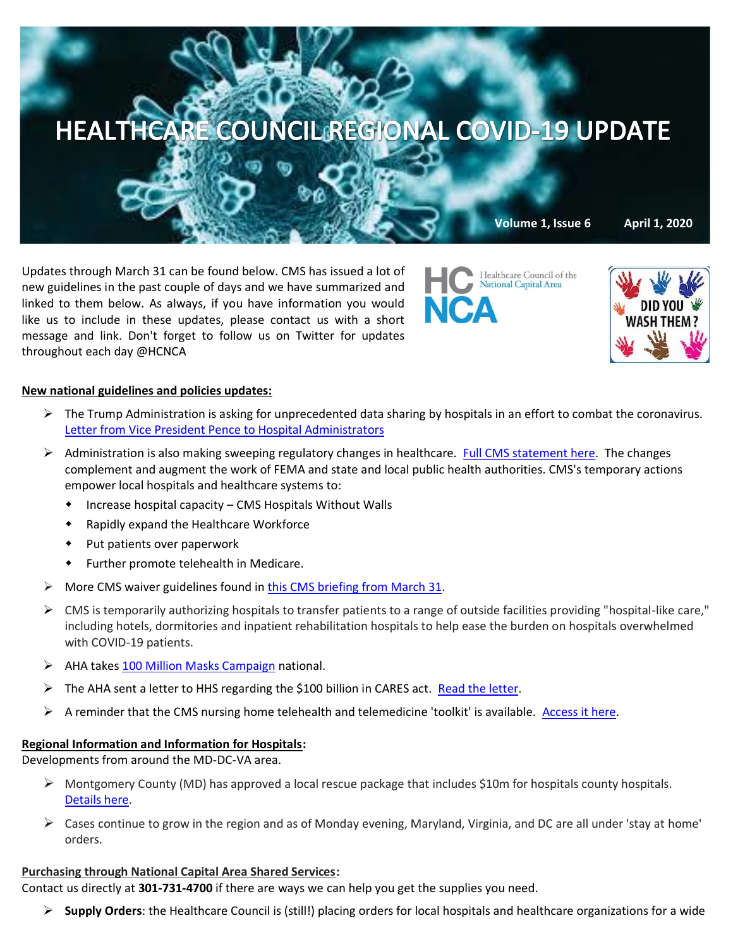

Updates through March 31 can be found below. CMS has issued a lot of new guidelines in the past couple of days and we have summarized and linked to them below. As always, if you have information you would like us to include in these updates, please contact us with a short message and link. Don't forget to follow us on Twitter for updates throughout each day @HCNCA



Healthcare Council of the National Capital Area

## **New national guidelines and policies updates:**

- $\triangleright$  The Trump Administration is asking for unprecedented data sharing by hospitals in an effort to combat the coronavirus. [Letter from Vice President Pence to Hospital Administrators](https://www.cms.gov/files/document/32920-hospital-letter-vice-president-pence.pdf)
- $\triangleright$  Administration is also making sweeping regulatory changes in healthcare. [Full CMS statement here.](https://www.cms.gov/newsroom/press-releases/trump-administration-makes-sweeping-regulatory-changes-help-us-healthcare-system-address-covid-19) The changes complement and augment the work of FEMA and state and local public health authorities. CMS's temporary actions empower local hospitals and healthcare systems to:
	- Increase hospital capacity CMS Hospitals Without Walls
	- Rapidly expand the Healthcare Workforce
	- Put patients over paperwork
	- Further promote telehealth in Medicare.
- $\triangleright$  More CMS waiver guidelines found in [this CMS briefing from March 31.](https://contentsharing.net/actions/email_web_version.cfm?ep=Bdhtp-zVuqFkgQiV6-lxty0f-nrLBJWzuTngPvD-5dUh_ZfC0Mk42p1C8uOYtOjdXikwipM0MMKTiJWmh8yabTmcz-lsCy_wISNC61ZtXhveqzV87BTcy3ot-s2JfdYt)
- ➢ CMS is temporarily authorizing hospitals to transfer patients to a range of outside facilities providing "hospital-like care," including hotels, dormitories and inpatient rehabilitation hospitals to help ease the burden on hospitals overwhelmed with COVID-19 patients.
- ➢ AHA takes [100 Million Masks Campaign](https://www.aha.org/press-releases/2020-03-27-aha-launches-100-million-mask-challenge-aid-front-line-health?utm_source=newsletter&utm_medium=email&utm_content=03312020-cc-innovation&utm_campaign=aha-innovation-center) national.
- ➢ The AHA sent a letter to HHS regarding the \$100 billion in CARES act[. Read the letter.](https://mail-attachment.googleusercontent.com/attachment/u/0/?ui=2&ik=9aef729a78&attid=0.1&permmsgid=msg-f:1662710310741979805&th=17132237dc27b29d&view=att&disp=inline&saddbat=ANGjdJ9jkSmQ0RyC6Esp1jNWu8VYmQVP1GCbnEiWCqNR9OI4P62PKobJSGe0IdFThCZnltA69B2mbL2umpRn86Lv2fT5cmrhzE2xYleo6uIyZojHy8uVkSVVDaaeWfEU63eEMbwUM6OHP_N6gj46G8FfCNvGTEVSsqkl3Bk_KeNy1LOwFDImNkE57JL10ltCaciK86HoVITv67z7RGpj2CoSxyqg0cXGjBgR8dq00K8olvykbI3crVkhdYaFIYlx4e1c_X0dmQk2sI8f7CFEzMpLRuua44Wr7FeR0Fwmjo8ODPHiFTdF4DMKshtJnLhPLeNXwNOV2F-ZlxqaoSQnbTJUqBhw6znM0GysuPeR4SpQFvuNOELcaPNA1cwl2bHVxRLOMaC_BGnzcffVM_usRuE-k8rqG1WqzDmQpimKqrldtyLFTxM1bL0Dt3kJntfMvIAlWTcnj6F_nFgk6hjqt0jgaaI796KNTiiwME2H0-vdqHAYmZhknpLtHMYyxWUYyowxBLhFpRRupjvrSNbWzT0DdhBm60X0hH5KNm_ygU18YBXbrjEB4bFo3VqhIHige-ZNbZuDm4e9Gef9Nbgje3cDK8WkaYDrLJ1sbpyIn6YQbBMvXpFS5GSK5eWkHcU9newz10x99OpbUZDTnu-5Ba4-Yxlh1VWXWrs_AccAwNLDrq_m-XSocc1SQ5kU-2o)
- ➢ A reminder that the CMS nursing home telehealth and telemedicine 'toolkit' is available[. Access it here.](https://www.cms.gov/files/document/covid-19-nursing-home-telehealth-toolkit.pdf)

### **Regional Information and Information for Hospitals:**

Developments from around the MD-DC-VA area.

- $\triangleright$ Montgomery County (MD) has approved a local rescue package that includes \$10m for hospitals county hospitals. [Details here.](https://wtop.com/montgomery-county/2020/03/montgomery-co-approves-36-million-emergency-funding-for-coronavirus-response/)
- $\triangleright$  Cases continue to grow in the region and as of Monday evening, Maryland, Virginia, and DC are all under 'stay at home' orders.

# **Purchasing through National Capital Area Shared Services:**

Contact us directly at **301-731-4700** if there are ways we can help you get the supplies you need.

➢ **Supply Orders**: the Healthcare Council is (still!) placing orders for local hospitals and healthcare organizations for a wide